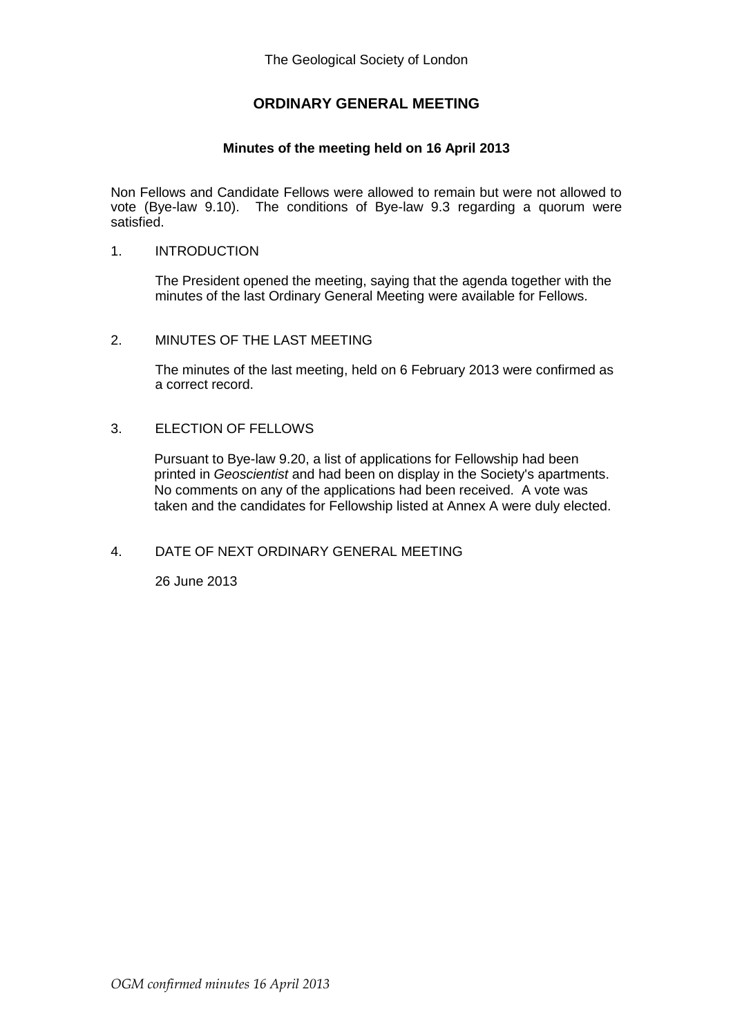# **ORDINARY GENERAL MEETING**

### **Minutes of the meeting held on 16 April 2013**

Non Fellows and Candidate Fellows were allowed to remain but were not allowed to vote (Bye-law 9.10). The conditions of Bye-law 9.3 regarding a quorum were satisfied.

#### 1. INTRODUCTION

The President opened the meeting, saying that the agenda together with the minutes of the last Ordinary General Meeting were available for Fellows.

#### 2. MINUTES OF THE LAST MEETING

The minutes of the last meeting, held on 6 February 2013 were confirmed as a correct record.

#### 3. ELECTION OF FELLOWS

Pursuant to Bye-law 9.20, a list of applications for Fellowship had been printed in *Geoscientist* and had been on display in the Society's apartments. No comments on any of the applications had been received. A vote was taken and the candidates for Fellowship listed at Annex A were duly elected.

#### 4. DATE OF NEXT ORDINARY GENERAL MEETING

26 June 2013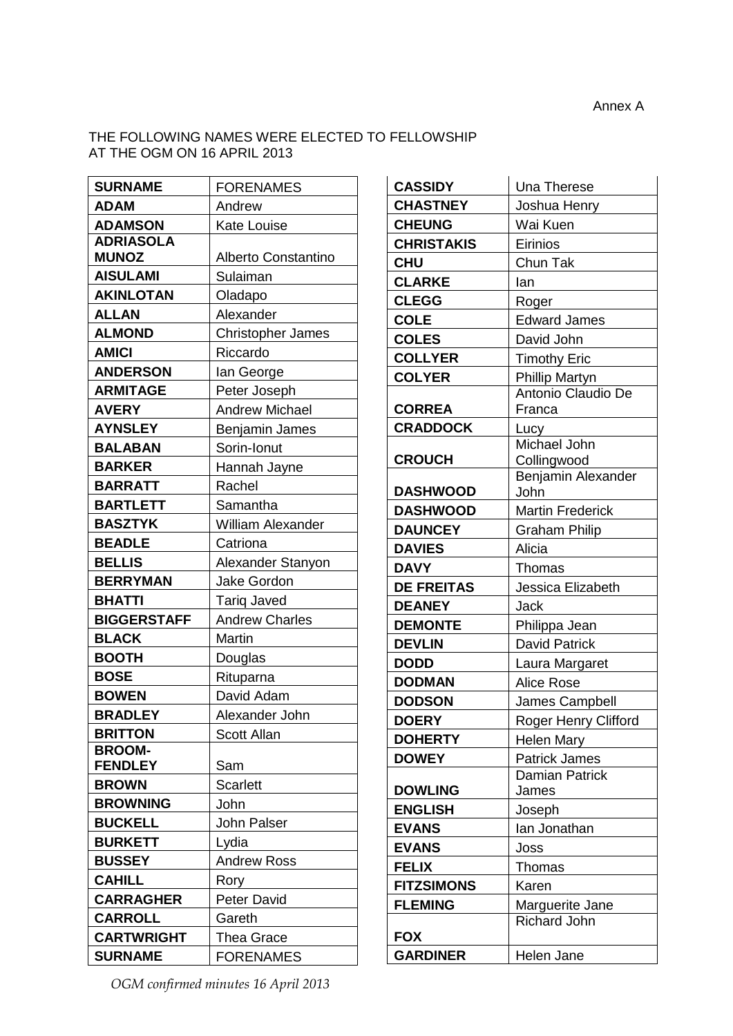## THE FOLLOWING NAMES WERE ELECTED TO FELLOWSHIP AT THE OGM ON 16 APRIL 2013

| <b>SURNAME</b>                   | <b>FORENAMES</b>         |
|----------------------------------|--------------------------|
| <b>ADAM</b>                      | Andrew                   |
| <b>ADAMSON</b>                   | <b>Kate Louise</b>       |
| <b>ADRIASOLA</b><br><b>MUNOZ</b> | Alberto Constantino      |
| <b>AISULAMI</b>                  | Sulaiman                 |
| <b>AKINLOTAN</b>                 | Oladapo                  |
| <b>ALLAN</b>                     | Alexander                |
| <b>ALMOND</b>                    | <b>Christopher James</b> |
| <b>AMICI</b>                     | Riccardo                 |
| <b>ANDERSON</b>                  | lan George               |
| <b>ARMITAGE</b>                  | Peter Joseph             |
| <b>AVERY</b>                     | <b>Andrew Michael</b>    |
| <b>AYNSLEY</b>                   | Benjamin James           |
| <b>BALABAN</b>                   | Sorin-Ionut              |
| <b>BARKER</b>                    | Hannah Jayne             |
| <b>BARRATT</b>                   | Rachel                   |
| <b>BARTLETT</b>                  | Samantha                 |
| <b>BASZTYK</b>                   | <b>William Alexander</b> |
| <b>BEADLE</b>                    | Catriona                 |
| <b>BELLIS</b>                    | Alexander Stanyon        |
| <b>BERRYMAN</b>                  | Jake Gordon              |
| <b>BHATTI</b>                    | <b>Tariq Javed</b>       |
| <b>BIGGERSTAFF</b>               | <b>Andrew Charles</b>    |
| <b>BLACK</b>                     | Martin                   |
| <b>BOOTH</b>                     | Douglas                  |
| <b>BOSE</b>                      | Rituparna                |
| <b>BOWEN</b>                     | David Adam               |
| <b>BRADLEY</b>                   | Alexander John           |
| <b>BRITTON</b>                   | <b>Scott Allan</b>       |
| <b>BROOM-</b><br><b>FENDLEY</b>  | Sam                      |
| <b>BROWN</b>                     | <b>Scarlett</b>          |
| <b>BROWNING</b>                  | John                     |
| <b>BUCKELL</b>                   | John Palser              |
| <b>BURKETT</b>                   | Lydia                    |
| <b>BUSSEY</b>                    | <b>Andrew Ross</b>       |
| <b>CAHILL</b>                    | Rory                     |
| <b>CARRAGHER</b>                 | Peter David              |
| <b>CARROLL</b>                   | Gareth                   |
| <b>CARTWRIGHT</b>                | Thea Grace               |
| <b>SURNAME</b>                   | <b>FORENAMES</b>         |

| <b>CASSIDY</b>    | <b>Una Therese</b>                     |
|-------------------|----------------------------------------|
| <b>CHASTNEY</b>   | Joshua Henry                           |
| <b>CHEUNG</b>     | Wai Kuen                               |
| <b>CHRISTAKIS</b> | Eirinios                               |
| <b>CHU</b>        | Chun Tak                               |
| <b>CLARKE</b>     | lan                                    |
| <b>CLEGG</b>      | Roger                                  |
| <b>COLE</b>       | <b>Edward James</b>                    |
| <b>COLES</b>      | David John                             |
| <b>COLLYER</b>    | <b>Timothy Eric</b>                    |
| <b>COLYER</b>     | <b>Phillip Martyn</b>                  |
|                   | Antonio Claudio De                     |
| <b>CORREA</b>     | Franca                                 |
| <b>CRADDOCK</b>   | Lucy                                   |
|                   | Michael John                           |
| <b>CROUCH</b>     | Collingwood                            |
| <b>DASHWOOD</b>   | Benjamin Alexander<br>John             |
|                   |                                        |
| <b>DASHWOOD</b>   | <b>Martin Frederick</b>                |
| <b>DAUNCEY</b>    | <b>Graham Philip</b>                   |
| <b>DAVIES</b>     | Alicia                                 |
| <b>DAVY</b>       | Thomas                                 |
| <b>DE FREITAS</b> | Jessica Elizabeth                      |
| <b>DEANEY</b>     | Jack                                   |
| <b>DEMONTE</b>    | Philippa Jean                          |
| <b>DEVLIN</b>     | <b>David Patrick</b>                   |
| <b>DODD</b>       | Laura Margaret                         |
| <b>DODMAN</b>     | <b>Alice Rose</b>                      |
| <b>DODSON</b>     | James Campbell                         |
| <b>DOERY</b>      | Roger Henry Clifford                   |
| <b>DOHERTY</b>    | Helen Mary                             |
| <b>DOWEY</b>      | <b>Patrick James</b>                   |
| <b>DOWLING</b>    | <b>Damian Patrick</b><br>James         |
| <b>ENGLISH</b>    | Joseph                                 |
| <b>EVANS</b>      | lan Jonathan                           |
| <b>EVANS</b>      | Joss                                   |
| <b>FELIX</b>      | Thomas                                 |
| <b>FITZSIMONS</b> |                                        |
| <b>FLEMING</b>    | Karen                                  |
|                   | Marguerite Jane<br><b>Richard John</b> |
| <b>FOX</b>        |                                        |
| <b>GARDINER</b>   | Helen Jane                             |

*OGM confirmed minutes 16 April 2013*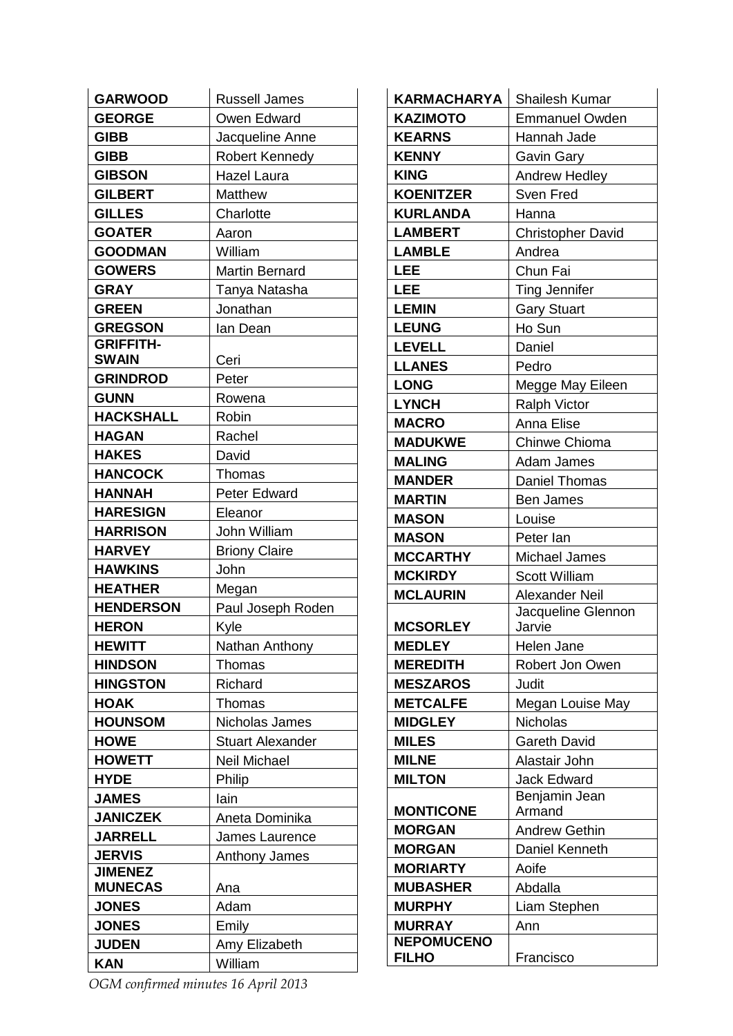| <b>GARWOOD</b>   | <b>Russell James</b>    |
|------------------|-------------------------|
| <b>GEORGE</b>    | Owen Edward             |
| <b>GIBB</b>      | Jacqueline Anne         |
| <b>GIBB</b>      | <b>Robert Kennedy</b>   |
| <b>GIBSON</b>    | Hazel Laura             |
| <b>GILBERT</b>   | Matthew                 |
| <b>GILLES</b>    | Charlotte               |
| <b>GOATER</b>    | Aaron                   |
| <b>GOODMAN</b>   | William                 |
| <b>GOWERS</b>    | <b>Martin Bernard</b>   |
| <b>GRAY</b>      | Tanya Natasha           |
| <b>GREEN</b>     | Jonathan                |
| <b>GREGSON</b>   | lan Dean                |
| <b>GRIFFITH-</b> |                         |
| <b>SWAIN</b>     | Ceri                    |
| <b>GRINDROD</b>  | Peter                   |
| <b>GUNN</b>      | Rowena                  |
| <b>HACKSHALL</b> | Robin                   |
| <b>HAGAN</b>     | Rachel                  |
| <b>HAKES</b>     | David                   |
| <b>HANCOCK</b>   | Thomas                  |
| <b>HANNAH</b>    | Peter Edward            |
| <b>HARESIGN</b>  | Eleanor                 |
| <b>HARRISON</b>  | John William            |
| <b>HARVEY</b>    | <b>Briony Claire</b>    |
| <b>HAWKINS</b>   | John                    |
| <b>HEATHER</b>   | Megan                   |
| <b>HENDERSON</b> | Paul Joseph Roden       |
| <b>HERON</b>     | Kyle                    |
| <b>HEWITT</b>    | Nathan Anthony          |
| <b>HINDSON</b>   | Thomas                  |
| <b>HINGSTON</b>  | Richard                 |
| <b>HOAK</b>      | Thomas                  |
| <b>HOUNSOM</b>   | Nicholas James          |
| <b>HOWE</b>      | <b>Stuart Alexander</b> |
| <b>HOWETT</b>    | Neil Michael            |
| <b>HYDE</b>      | Philip                  |
| <b>JAMES</b>     | lain                    |
| <b>JANICZEK</b>  | Aneta Dominika          |
| <b>JARRELL</b>   | James Laurence          |
| <b>JERVIS</b>    | <b>Anthony James</b>    |
| <b>JIMENEZ</b>   |                         |
| <b>MUNECAS</b>   | Ana                     |
| <b>JONES</b>     | Adam                    |
| <b>JONES</b>     | Emily                   |
| <b>JUDEN</b>     | Amy Elizabeth           |
| <b>KAN</b>       | William                 |

| <b>KARMACHARYA</b> | Shailesh Kumar           |
|--------------------|--------------------------|
| <b>KAZIMOTO</b>    | <b>Emmanuel Owden</b>    |
| <b>KEARNS</b>      | Hannah Jade              |
| <b>KENNY</b>       | Gavin Gary               |
| <b>KING</b>        | <b>Andrew Hedley</b>     |
| <b>KOENITZER</b>   | Sven Fred                |
| <b>KURLANDA</b>    | Hanna                    |
| <b>LAMBERT</b>     | <b>Christopher David</b> |
| <b>LAMBLE</b>      | Andrea                   |
| <b>LEE</b>         | Chun Fai                 |
| <b>LEE</b>         | <b>Ting Jennifer</b>     |
| <b>LEMIN</b>       | <b>Gary Stuart</b>       |
| <b>LEUNG</b>       | Ho Sun                   |
| <b>LEVELL</b>      | Daniel                   |
| <b>LLANES</b>      | Pedro                    |
| <b>LONG</b>        | Megge May Eileen         |
| <b>LYNCH</b>       | <b>Ralph Victor</b>      |
| <b>MACRO</b>       | Anna Elise               |
| <b>MADUKWE</b>     | Chinwe Chioma            |
| <b>MALING</b>      | Adam James               |
| <b>MANDER</b>      | <b>Daniel Thomas</b>     |
| <b>MARTIN</b>      | <b>Ben James</b>         |
| <b>MASON</b>       | Louise                   |
| <b>MASON</b>       | Peter lan                |
| <b>MCCARTHY</b>    | Michael James            |
| <b>MCKIRDY</b>     | <b>Scott William</b>     |
| <b>MCLAURIN</b>    | Alexander Neil           |
|                    | Jacqueline Glennon       |
| <b>MCSORLEY</b>    | Jarvie                   |
| <b>MEDLEY</b>      | Helen Jane               |
| <b>MEREDITH</b>    | Robert Jon Owen          |
| <b>MESZAROS</b>    | Judit                    |
| <b>METCALFE</b>    | Megan Louise May         |
| <b>MIDGLEY</b>     | Nicholas                 |
| <b>MILES</b>       | <b>Gareth David</b>      |
| <b>MILNE</b>       | Alastair John            |
| <b>MILTON</b>      | <b>Jack Edward</b>       |
| <b>MONTICONE</b>   | Benjamin Jean<br>Armand  |
| <b>MORGAN</b>      | <b>Andrew Gethin</b>     |
| <b>MORGAN</b>      | Daniel Kenneth           |
| <b>MORIARTY</b>    | Aoife                    |
| <b>MUBASHER</b>    | Abdalla                  |
| <b>MURPHY</b>      | Liam Stephen             |
| <b>MURRAY</b>      | Ann                      |
| <b>NEPOMUCENO</b>  |                          |
| <b>FILHO</b>       | Francisco                |

*OGM confirmed minutes 16 April 2013*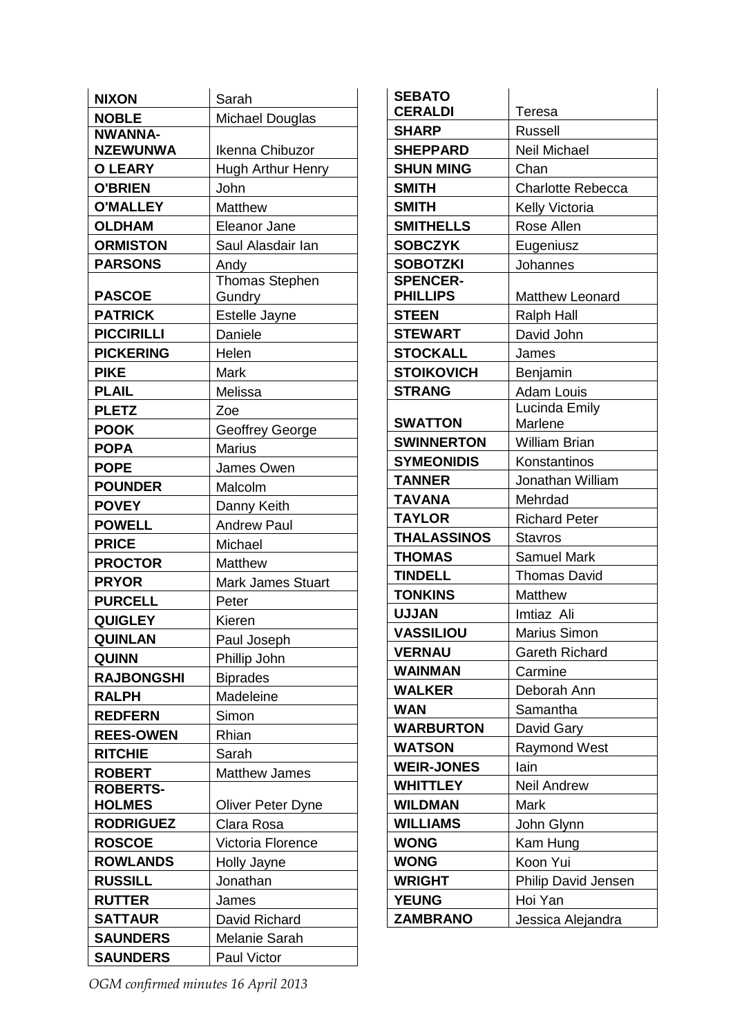| <b>NIXON</b>      | Sarah                    |
|-------------------|--------------------------|
| <b>NOBLE</b>      | Michael Douglas          |
| <b>NWANNA-</b>    |                          |
| <b>NZEWUNWA</b>   | Ikenna Chibuzor          |
| <b>O LEARY</b>    | <b>Hugh Arthur Henry</b> |
| <b>O'BRIEN</b>    | John                     |
| <b>O'MALLEY</b>   | Matthew                  |
| <b>OLDHAM</b>     | <b>Eleanor Jane</b>      |
| <b>ORMISTON</b>   | Saul Alasdair Ian        |
| <b>PARSONS</b>    | Andy                     |
|                   | <b>Thomas Stephen</b>    |
| <b>PASCOE</b>     | Gundry                   |
| <b>PATRICK</b>    | Estelle Jayne            |
| <b>PICCIRILLI</b> | Daniele                  |
| <b>PICKERING</b>  | Helen                    |
| <b>PIKE</b>       | Mark                     |
| <b>PLAIL</b>      | Melissa                  |
| <b>PLETZ</b>      | Zoe                      |
| <b>POOK</b>       | Geoffrey George          |
| <b>POPA</b>       | <b>Marius</b>            |
| <b>POPE</b>       | James Owen               |
| <b>POUNDER</b>    | Malcolm                  |
| <b>POVEY</b>      | Danny Keith              |
| <b>POWELL</b>     | <b>Andrew Paul</b>       |
| <b>PRICE</b>      | Michael                  |
| <b>PROCTOR</b>    | Matthew                  |
| <b>PRYOR</b>      | Mark James Stuart        |
| <b>PURCELL</b>    | Peter                    |
| <b>QUIGLEY</b>    | Kieren                   |
| <b>QUINLAN</b>    | Paul Joseph              |
| <b>QUINN</b>      | Phillip John             |
| <b>RAJBONGSHI</b> | <b>Biprades</b>          |
| <b>RALPH</b>      | Madeleine                |
| <b>REDFERN</b>    | Simon                    |
| <b>REES-OWEN</b>  | Rhian                    |
| <b>RITCHIE</b>    | Sarah                    |
| <b>ROBERT</b>     | <b>Matthew James</b>     |
| <b>ROBERTS-</b>   |                          |
| <b>HOLMES</b>     | Oliver Peter Dyne        |
| <b>RODRIGUEZ</b>  | Clara Rosa               |
| <b>ROSCOE</b>     | Victoria Florence        |
| <b>ROWLANDS</b>   | Holly Jayne              |
| <b>RUSSILL</b>    | Jonathan                 |
| <b>RUTTER</b>     | James                    |
| <b>SATTAUR</b>    | David Richard            |
| <b>SAUNDERS</b>   | Melanie Sarah            |
| <b>SAUNDERS</b>   | Paul Victor              |

| <b>SEBATO</b>                      |                          |
|------------------------------------|--------------------------|
| <b>CERALDI</b>                     | Teresa                   |
| <b>SHARP</b>                       | <b>Russell</b>           |
| <b>SHEPPARD</b>                    | <b>Neil Michael</b>      |
| <b>SHUN MING</b>                   | Chan                     |
| <b>SMITH</b>                       | <b>Charlotte Rebecca</b> |
| <b>SMITH</b>                       | Kelly Victoria           |
| <b>SMITHELLS</b>                   | Rose Allen               |
| <b>SOBCZYK</b>                     | Eugeniusz                |
| <b>SOBOTZKI</b>                    | Johannes                 |
| <b>SPENCER-</b><br><b>PHILLIPS</b> | <b>Matthew Leonard</b>   |
| <b>STEEN</b>                       | <b>Ralph Hall</b>        |
| <b>STEWART</b>                     | David John               |
| <b>STOCKALL</b>                    | James                    |
| <b>STOIKOVICH</b>                  | Benjamin                 |
| <b>STRANG</b>                      | <b>Adam Louis</b>        |
|                                    | Lucinda Emily            |
| <b>SWATTON</b>                     | Marlene                  |
| <b>SWINNERTON</b>                  | <b>William Brian</b>     |
| <b>SYMEONIDIS</b>                  | Konstantinos             |
| <b>TANNER</b>                      | Jonathan William         |
| <b>TAVANA</b>                      | Mehrdad                  |
| <b>TAYLOR</b>                      | <b>Richard Peter</b>     |
| <b>THALASSINOS</b>                 | <b>Stavros</b>           |
| <b>THOMAS</b>                      | <b>Samuel Mark</b>       |
| <b>TINDELL</b>                     | <b>Thomas David</b>      |
| <b>TONKINS</b>                     | <b>Matthew</b>           |
| <b>UJJAN</b>                       | Imtiaz Ali               |
| <b>VASSILIOU</b>                   | Marius Simon             |
| <b>VERNAU</b>                      | <b>Gareth Richard</b>    |
| <b>WAINMAN</b>                     | Carmine                  |
| <b>WALKER</b>                      | Deborah Ann              |
| <b>WAN</b>                         | Samantha                 |
| <b>WARBURTON</b>                   | David Gary               |
| <b>WATSON</b>                      | <b>Raymond West</b>      |
| <b>WEIR-JONES</b>                  | lain                     |
| <b>WHITTLEY</b>                    | <b>Neil Andrew</b>       |
| <b>WILDMAN</b>                     | Mark                     |
| <b>WILLIAMS</b>                    | John Glynn               |
| <b>WONG</b>                        | Kam Hung                 |
| <b>WONG</b>                        | Koon Yui                 |
| <b>WRIGHT</b>                      | Philip David Jensen      |
| <b>YEUNG</b>                       | Hoi Yan                  |
| <b>ZAMBRANO</b>                    | Jessica Alejandra        |